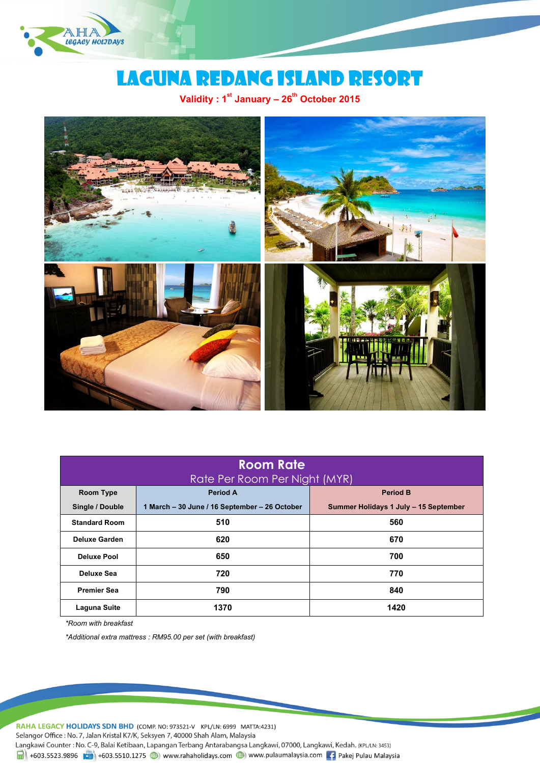

# Laguna redang island RESORT

**Validity : 1st January – 26th October 2015**



| <b>Room Rate</b>              |                                               |                                       |
|-------------------------------|-----------------------------------------------|---------------------------------------|
| Rate Per Room Per Night (MYR) |                                               |                                       |
| Room Type                     | <b>Period A</b>                               | <b>Period B</b>                       |
| Single / Double               | 1 March - 30 June / 16 September - 26 October | Summer Holidays 1 July - 15 September |
| <b>Standard Room</b>          | 510                                           | 560                                   |
| <b>Deluxe Garden</b>          | 620                                           | 670                                   |
| <b>Deluxe Pool</b>            | 650                                           | 700                                   |
| Deluxe Sea                    | 720                                           | 770                                   |
| <b>Premier Sea</b>            | 790                                           | 840                                   |
| <b>Laguna Suite</b>           | 1370                                          | 1420                                  |

*\*Room with breakfast*

*\*Additional extra mattress : RM95.00 per set (with breakfast)*

RAHA LEGACY HOLIDAYS SDN BHD (COMP. NO: 973521-V KPL/LN: 6999 MATTA:4231)

Selangor Office: No. 7, Jalan Kristal K7/K, Seksyen 7, 40000 Shah Alam, Malaysia

Langkawi Counter : No. C-9, Balai Ketibaan, Lapangan Terbang Antarabangsa Langkawi, 07000, Langkawi, Kedah. (KPL/LN: 3453)

 $\frac{1}{2}$  +603.5523.9896  $\frac{1}{2}$  +603.5510.1275 (a) www.rahaholidays.com (b) www.pulaumalaysia.com  $\frac{1}{2}$  Pakej Pulau Malaysia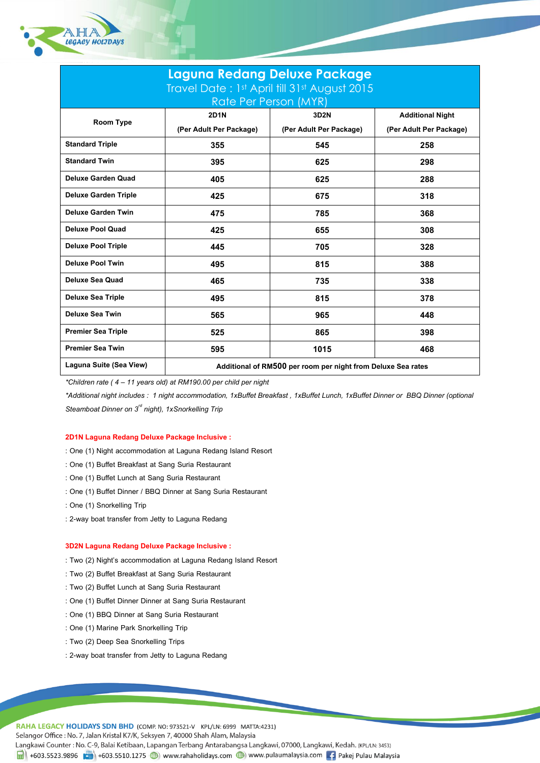

| Laguna Redang Deluxe Package                 |                                                              |                         |                         |  |
|----------------------------------------------|--------------------------------------------------------------|-------------------------|-------------------------|--|
| Travel Date: 1st April till 31st August 2015 |                                                              |                         |                         |  |
|                                              | Rate Per Person (MYR)                                        |                         |                         |  |
| Room Type                                    | <b>2D1N</b>                                                  | 3D2N                    | <b>Additional Night</b> |  |
|                                              | (Per Adult Per Package)                                      | (Per Adult Per Package) | (Per Adult Per Package) |  |
| <b>Standard Triple</b>                       | 355                                                          | 545                     | 258                     |  |
| <b>Standard Twin</b>                         | 395                                                          | 625                     | 298                     |  |
| <b>Deluxe Garden Quad</b>                    | 405                                                          | 625                     | 288                     |  |
| <b>Deluxe Garden Triple</b>                  | 425                                                          | 675                     | 318                     |  |
| <b>Deluxe Garden Twin</b>                    | 475                                                          | 785                     | 368                     |  |
| <b>Deluxe Pool Quad</b>                      | 425                                                          | 655                     | 308                     |  |
| <b>Deluxe Pool Triple</b>                    | 445                                                          | 705                     | 328                     |  |
| <b>Deluxe Pool Twin</b>                      | 495                                                          | 815                     | 388                     |  |
| <b>Deluxe Sea Quad</b>                       | 465                                                          | 735                     | 338                     |  |
| <b>Deluxe Sea Triple</b>                     | 495                                                          | 815                     | 378                     |  |
| <b>Deluxe Sea Twin</b>                       | 565                                                          | 965                     | 448                     |  |
| <b>Premier Sea Triple</b>                    | 525                                                          | 865                     | 398                     |  |
| <b>Premier Sea Twin</b>                      | 595                                                          | 1015                    | 468                     |  |
| Laguna Suite (Sea View)                      | Additional of RM500 per room per night from Deluxe Sea rates |                         |                         |  |

*\*Children rate ( 4 –11 years old) at RM190.00 per child per night*

*\*Additional night includes : 1 night accommodation, 1xBuffet Breakfast , 1xBuffet Lunch, 1xBuffet Dinner or BBQ Dinner (optional Steamboat Dinner on 3rd night), 1xSnorkelling Trip* 

## **2D1N Laguna Redang Deluxe Package Inclusive :**

- : One (1) Night accommodation at Laguna Redang Island Resort
- : One (1) Buffet Breakfast at Sang Suria Restaurant
- : One (1) Buffet Lunch at Sang Suria Restaurant
- : One (1) Buffet Dinner / BBQ Dinner at Sang Suria Restaurant
- : One (1) Snorkelling Trip
- : 2-way boat transfer from Jetty to Laguna Redang

### **3D2N Laguna Redang Deluxe Package Inclusive :**

- : Two (2) Night's accommodation at Laguna Redang Island Resort
- : Two (2) Buffet Breakfast at Sang Suria Restaurant
- : Two (2) Buffet Lunch at Sang Suria Restaurant
- : One (1) Buffet Dinner Dinner at Sang Suria Restaurant
- : One (1) BBQ Dinner at Sang Suria Restaurant
- : One (1) Marine Park Snorkelling Trip
- : Two (2) Deep Sea Snorkelling Trips
- : 2-way boat transfer from Jetty to Laguna Redang

RAHA LEGACY HOLIDAYS SDN BHD (COMP. NO: 973521-V KPL/LN: 6999 MATTA:4231) Selangor Office: No. 7, Jalan Kristal K7/K, Seksyen 7, 40000 Shah Alam, Malaysia Langkawi Counter: No. C-9, Balai Ketibaan, Lapangan Terbang Antarabangsa Langkawi, 07000, Langkawi, Kedah. (KPL/LN: 3453) 4603.5523.9896 (1) +603.5510.1275 (1) www.rahaholidays.com (1) www.pulaumalaysia.com [4] Pakej Pulau Malaysia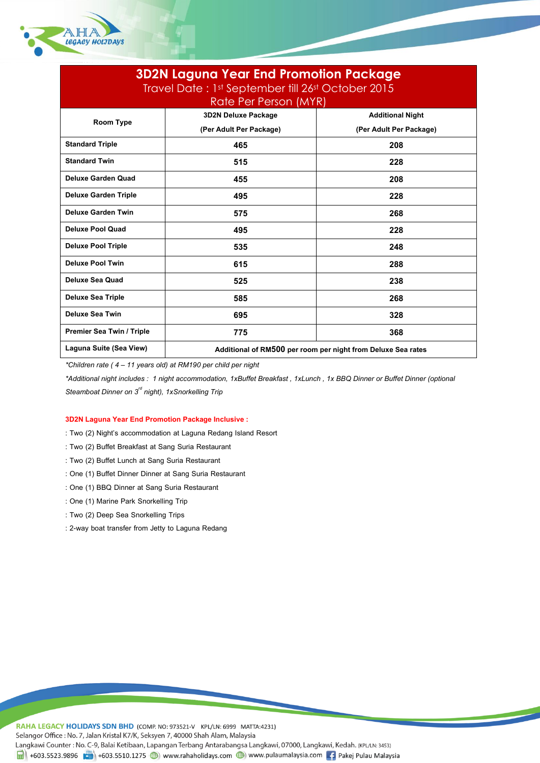

| <b>3D2N Laguna Year End Promotion Package</b><br>Travel Date: 1st September till 26st October 2015 |                                                              |                         |  |
|----------------------------------------------------------------------------------------------------|--------------------------------------------------------------|-------------------------|--|
|                                                                                                    | <b>Rate Per Person (MYR)</b>                                 |                         |  |
| <b>Room Type</b>                                                                                   | <b>3D2N Deluxe Package</b>                                   | <b>Additional Night</b> |  |
|                                                                                                    | (Per Adult Per Package)                                      | (Per Adult Per Package) |  |
| <b>Standard Triple</b>                                                                             | 465                                                          | 208                     |  |
| <b>Standard Twin</b>                                                                               | 515                                                          | 228                     |  |
| <b>Deluxe Garden Quad</b>                                                                          | 455                                                          | 208                     |  |
| <b>Deluxe Garden Triple</b>                                                                        | 495                                                          | 228                     |  |
| <b>Deluxe Garden Twin</b>                                                                          | 575                                                          | 268                     |  |
| <b>Deluxe Pool Quad</b>                                                                            | 495                                                          | 228                     |  |
| <b>Deluxe Pool Triple</b>                                                                          | 535                                                          | 248                     |  |
| <b>Deluxe Pool Twin</b>                                                                            | 615                                                          | 288                     |  |
| <b>Deluxe Sea Quad</b>                                                                             | 525                                                          | 238                     |  |
| <b>Deluxe Sea Triple</b>                                                                           | 585                                                          | 268                     |  |
| <b>Deluxe Sea Twin</b>                                                                             | 695                                                          | 328                     |  |
| <b>Premier Sea Twin / Triple</b>                                                                   | 775                                                          | 368                     |  |
| Laguna Suite (Sea View)                                                                            | Additional of RM500 per room per night from Deluxe Sea rates |                         |  |

*\*Children rate ( 4 –11 years old) at RM190 per child per night*

*\*Additional night includes : 1 night accommodation, 1xBuffet Breakfast ,1xLunch , 1x BBQ Dinner or Buffet Dinner (optional Steamboat Dinner on 3<sup><sup>rd</sup> night), 1xSnorkelling Trip*</sup>

# **3D2N Laguna Year End Promotion Package Inclusive :**

- : Two (2) Night's accommodation at Laguna Redang Island Resort
- : Two (2) Buffet Breakfast at Sang Suria Restaurant
- : Two (2) Buffet Lunch at Sang Suria Restaurant
- : One (1) Buffet Dinner Dinner at Sang Suria Restaurant
- : One (1) BBQ Dinner at Sang Suria Restaurant
- : One (1) Marine Park Snorkelling Trip
- : Two (2) Deep Sea Snorkelling Trips
- : 2-way boat transfer from Jetty to Laguna Redang

RAHA LEGACY HOLIDAYS SDN BHD (COMP. NO: 973521-V KPL/LN: 6999 MATTA:4231) Selangor Office: No. 7, Jalan Kristal K7/K, Seksyen 7, 40000 Shah Alam, Malaysia Langkawi Counter: No. C-9, Balai Ketibaan, Lapangan Terbang Antarabangsa Langkawi, 07000, Langkawi, Kedah. (KPL/LN: 3453) 4603.5523.9896 (1) +603.5510.1275 (1) www.rahaholidays.com (1) www.pulaumalaysia.com [4] Pakej Pulau Malaysia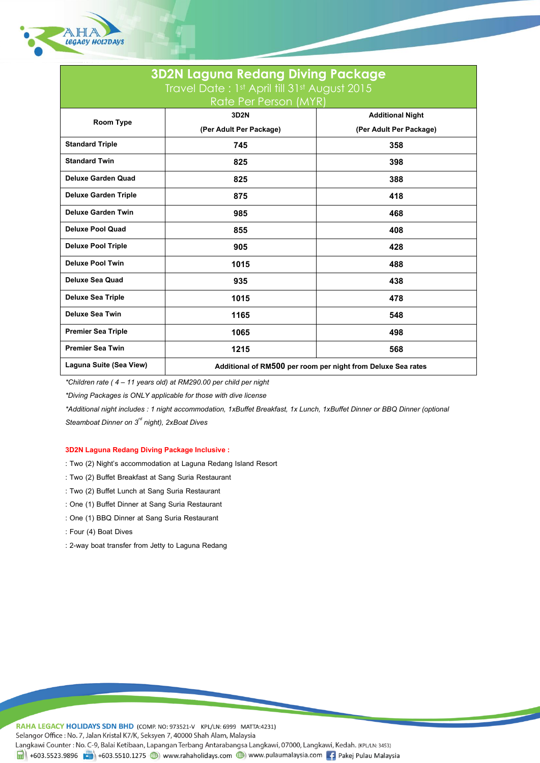

| <b>3D2N Laguna Redang Diving Package</b>     |                                                              |                         |
|----------------------------------------------|--------------------------------------------------------------|-------------------------|
| Travel Date: 1st April till 31st August 2015 |                                                              |                         |
| Rate Per Person (MYR)                        |                                                              |                         |
| Room Type                                    | 3D2N                                                         | <b>Additional Night</b> |
|                                              | (Per Adult Per Package)                                      | (Per Adult Per Package) |
| <b>Standard Triple</b>                       | 745                                                          | 358                     |
| <b>Standard Twin</b>                         | 825                                                          | 398                     |
| <b>Deluxe Garden Quad</b>                    | 825                                                          | 388                     |
| <b>Deluxe Garden Triple</b>                  | 875                                                          | 418                     |
| <b>Deluxe Garden Twin</b>                    | 985                                                          | 468                     |
| <b>Deluxe Pool Quad</b>                      | 855                                                          | 408                     |
| <b>Deluxe Pool Triple</b>                    | 905                                                          | 428                     |
| <b>Deluxe Pool Twin</b>                      | 1015                                                         | 488                     |
| <b>Deluxe Sea Quad</b>                       | 935                                                          | 438                     |
| <b>Deluxe Sea Triple</b>                     | 1015                                                         | 478                     |
| <b>Deluxe Sea Twin</b>                       | 1165                                                         | 548                     |
| <b>Premier Sea Triple</b>                    | 1065                                                         | 498                     |
| <b>Premier Sea Twin</b>                      | 1215                                                         | 568                     |
| Laguna Suite (Sea View)                      | Additional of RM500 per room per night from Deluxe Sea rates |                         |

*\*Children rate ( 4 –11 years old) at RM290.00 per child per night*

*\*Diving Packages is ONLY applicable for those with dive license*

*\*Additional night includes : 1 night accommodation, 1xBuffet Breakfast, 1x Lunch, 1xBuffet Dinner or BBQ Dinner (optional Steamboat Dinner on 3rd night), 2xBoat Dives*

# **3D2N Laguna Redang Diving Package Inclusive :**

- : Two (2) Night's accommodation at Laguna Redang Island Resort
- : Two (2) Buffet Breakfast at Sang Suria Restaurant
- : Two (2) Buffet Lunch at Sang Suria Restaurant
- : One (1) Buffet Dinner at Sang Suria Restaurant
- : One (1) BBQ Dinner at Sang Suria Restaurant
- : Four (4) Boat Dives
- : 2-way boat transfer from Jetty to Laguna Redang

RAHA LEGACY HOLIDAYS SDN BHD (COMP. NO: 973521-V KPL/LN: 6999 MATTA:4231) Selangor Office : No. 7, Jalan Kristal K7/K, Seksyen 7, 40000 Shah Alam, Malaysia Langkawi Counter: No. C-9, Balai Ketibaan, Lapangan Terbang Antarabangsa Langkawi, 07000, Langkawi, Kedah. (KPL/LN: 3453) 4603.5523.9896 (1) +603.5510.1275 (1) www.rahaholidays.com (1) www.pulaumalaysia.com [4] Pakej Pulau Malaysia